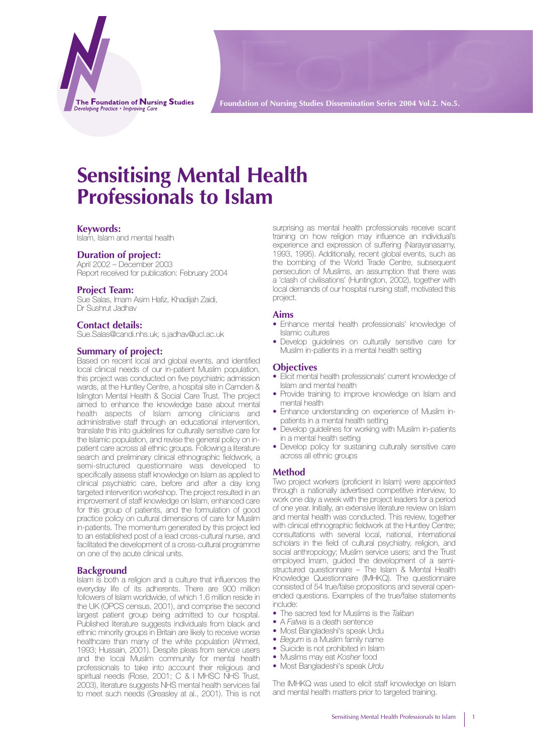The Foundation of Nursing Studies Developing Practice • Improving Car

**Foundation of Nursing Studies Dissemination Series 2004 Vol.2. No.5.**

# **Sensitising Mental Health Professionals to Islam**

# **Keywords:**

Islam, Islam and mental health

# **Duration of project:**

April 2002 – December 2003 Report received for publication: February 2004

#### **Project Team:**

Sue Salas, Imam Asim Hafiz, Khadijah Zaidi, Dr Sushrut Jadhav

# **Contact details:**

Sue.Salas@candi.nhs.uk; s.jadhav@ucl.ac.uk

# **Summary of project:**

Based on recent local and global events, and identified local clinical needs of our in-patient Muslim population, this project was conducted on five psychiatric admission wards, at the Huntley Centre, a hospital site in Camden & Islington Mental Health & Social Care Trust. The project aimed to enhance the knowledge base about mental health aspects of Islam among clinicians and administrative staff through an educational intervention, translate this into guidelines for culturally sensitive care for the Islamic population, and revise the general policy on inpatient care across all ethnic groups. Following a literature search and preliminary clinical ethnographic fieldwork, a semi-structured questionnaire was developed to specifically assess staff knowledge on Islam as applied to clinical psychiatric care, before and after a day long targeted intervention workshop. The project resulted in an improvement of staff knowledge on Islam, enhanced care for this group of patients, and the formulation of good practice policy on cultural dimensions of care for Muslim in-patients. The momentum generated by this project led to an established post of a lead cross-cultural nurse, and facilitated the development of a cross-cultural programme on one of the acute clinical units.

#### **Background**

Islam is both a religion and a culture that influences the everyday life of its adherents. There are 900 million followers of Islam worldwide, of which 1.6 million reside in the UK (OPCS census, 2001), and comprise the second largest patient group being admitted to our hospital. Published literature suggests individuals from black and ethnic minority groups in Britain are likely to receive worse healthcare than many of the white population (Ahmed, 1993; Hussain, 2001). Despite pleas from service users and the local Muslim community for mental health professionals to take into account their religious and spiritual needs (Rose, 2001; C & I MHSC NHS Trust, 2003), literature suggests NHS mental health services fail to meet such needs (Greasley at al., 2001). This is not

surprising as mental health professionals receive scant training on how religion may influence an individual's experience and expression of suffering (Narayanasamy, 1993, 1995). Additionally, recent global events, such as the bombing of the World Trade Centre, subsequent persecution of Muslims, an assumption that there was a 'clash of civilisations' (Huntington, 2002), together with local demands of our hospital nursing staff, motivated this project.

#### **Aims**

- Enhance mental health professionals' knowledge of Islamic cultures
- Develop guidelines on culturally sensitive care for Muslim in-patients in a mental health setting

#### **Objectives**

- Elicit mental health professionals' current knowledge of Islam and mental health
- Provide training to improve knowledge on Islam and mental health
- Enhance understanding on experience of Muslim inpatients in a mental health setting
- Develop guidelines for working with Muslim in-patients in a mental health setting
- Develop policy for sustaining culturally sensitive care across all ethnic groups

#### **Method**

Two project workers (proficient in Islam) were appointed through a nationally advertised competitive interview, to work one day a week with the project leaders for a period of one year. Initially, an extensive literature review on Islam and mental health was conducted. This review, together with clinical ethnographic fieldwork at the Huntley Centre; consultations with several local, national, international scholars in the field of cultural psychiatry, religion, and social anthropology; Muslim service users; and the Trust employed Imam, guided the development of a semistructured questionnaire – The Islam & Mental Health Knowledge Questionnaire (IMHKQ). The questionnaire consisted of 54 true/false propositions and several openended questions. Examples of the true/false statements include:

- The sacred text for Muslims is the *Taliban*
- A *Fatwa* is a death sentence
- Most Bangladeshi's speak Urdu
- *Begum* is a Muslim family name
- Suicide is not prohibited in Islam
- Muslims may eat *Kosher* food
- Most Bangladeshi's speak *Urdu*

The IMHKQ was used to elicit staff knowledge on Islam and mental health matters prior to targeted training.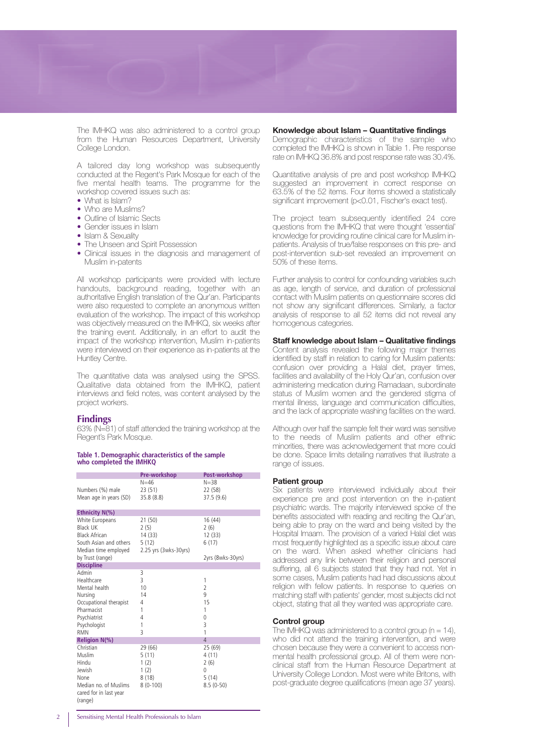

The IMHKQ was also administered to a control group from the Human Resources Department, University College London.

A tailored day long workshop was subsequently conducted at the Regent's Park Mosque for each of the five mental health teams. The programme for the workshop covered issues such as:

- What is Islam?
- Who are Muslims?
- Outline of Islamic Sects
- Gender issues in Islam
- Islam & Sexuality
- The Unseen and Spirit Possession
- Clinical issues in the diagnosis and management of Muslim in-patents

All workshop participants were provided with lecture handouts, background reading, together with an authoritative English translation of the Qur'an. Participants were also requested to complete an anonymous written evaluation of the workshop. The impact of this workshop was objectively measured on the IMHKQ, six weeks after the training event. Additionally, in an effort to audit the impact of the workshop intervention, Muslim in-patients were interviewed on their experience as in-patients at the Huntley Centre.

The quantitative data was analysed using the SPSS. Qualitative data obtained from the IMHKQ, patient interviews and field notes, was content analysed by the project workers.

#### **Findings**

63% (N=81) of staff attended the training workshop at the Regent's Park Mosque.

# **Table 1. Demographic characteristics of the sample who completed the IMHKQ**

|                                                                                                                                | Pre-workshop                                                | Post-workshop                                                       |
|--------------------------------------------------------------------------------------------------------------------------------|-------------------------------------------------------------|---------------------------------------------------------------------|
| Numbers (%) male<br>Mean age in years (SD)                                                                                     | N=46<br>23(51)<br>35.8 (8.8)                                | $N = 38$<br>22 (58)<br>37.5 (9.6)                                   |
| Ethnicity N(%)                                                                                                                 |                                                             |                                                                     |
| White Europeans<br>Black UK<br><b>Black African</b><br>South Asian and others<br>Median time employed                          | 21(50)<br>2(5)<br>14 (33)<br>5(12)<br>2.25 yrs (3wks-30yrs) | 16(44)<br>2(6)<br>12 (33)<br>6(17)                                  |
| by Trust (range)                                                                                                               |                                                             | 2yrs (8wks-30yrs)                                                   |
| <b>Discipline</b>                                                                                                              |                                                             |                                                                     |
| Admin<br>Healthcare<br>Mental health<br>Nursing<br>Occupational therapist<br>Pharmacist<br>Psychiatrist<br>Psychologist<br>RMN | 3<br>3<br>10<br>14<br>4<br>1<br>4<br>1<br>3                 | 1<br>$\overline{\phantom{a}}$<br>9<br>15<br>1<br>$\Omega$<br>3<br>1 |
| <b>Religion N(%)</b>                                                                                                           |                                                             | $\overline{4}$                                                      |
| Christian<br>Muslim<br>Hindu<br>Jewish<br>None<br>Median no. of Muslims<br>cared for in last year<br>(range)                   | 29 (66)<br>5(11)<br>1(2)<br>1(2)<br>8 (18)<br>$8(0-100)$    | 25 (69)<br>4 (11)<br>2(6)<br>0<br>5(14)<br>$8.5(0-50)$              |

#### **Knowledge about Islam – Quantitative findings**

Demographic characteristics of the sample who completed the IMHKQ is shown in Table 1. Pre response rate on IMHKQ 36.8% and post response rate was 30.4%.

Quantitative analysis of pre and post workshop IMHKQ suggested an improvement in correct response on 63.5% of the 52 items. Four items showed a statistically significant improvement (p<0.01, Fischer's exact test).

The project team subsequently identified 24 core questions from the IMHKQ that were thought 'essential' knowledge for providing routine clinical care for Muslim inpatients. Analysis of true/false responses on this pre- and post-intervention sub-set revealed an improvement on 50% of these items.

Further analysis to control for confounding variables such as age, length of service, and duration of professional contact with Muslim patients on questionnaire scores did not show any significant differences. Similarly, a factor analysis of response to all 52 items did not reveal any homogenous categories.

#### **Staff knowledge about Islam – Qualitative findings**

Content analysis revealed the following major themes identified by staff in relation to caring for Muslim patients: confusion over providing a Halal diet, prayer times, facilities and availability of the Holy Qur'an, confusion over administering medication during Ramadaan, subordinate status of Muslim women and the gendered stigma of mental illness, language and communication difficulties, and the lack of appropriate washing facilities on the ward.

Although over half the sample felt their ward was sensitive to the needs of Muslim patients and other ethnic minorities, there was acknowledgement that more could be done. Space limits detailing narratives that illustrate a range of issues.

#### **Patient group**

Six patients were interviewed individually about their experience pre and post intervention on the in-patient psychiatric wards. The majority interviewed spoke of the benefits associated with reading and reciting the Qur'an, being able to pray on the ward and being visited by the Hospital Imaam. The provision of a varied Halal diet was most frequently highlighted as a specific issue about care on the ward. When asked whether clinicians had addressed any link between their religion and personal suffering, all 6 subjects stated that they had not. Yet in some cases, Muslim patients had had discussions about religion with fellow patients. In response to queries on matching staff with patients' gender, most subjects did not object, stating that all they wanted was appropriate care.

#### **Control group**

The IMHKQ was administered to a control group ( $n = 14$ ), who did not attend the training intervention, and were chosen because they were a convenient to access nonmental health professional group. All of them were nonclinical staff from the Human Resource Department at University College London. Most were white Britons, with post-graduate degree qualifications (mean age 37 years).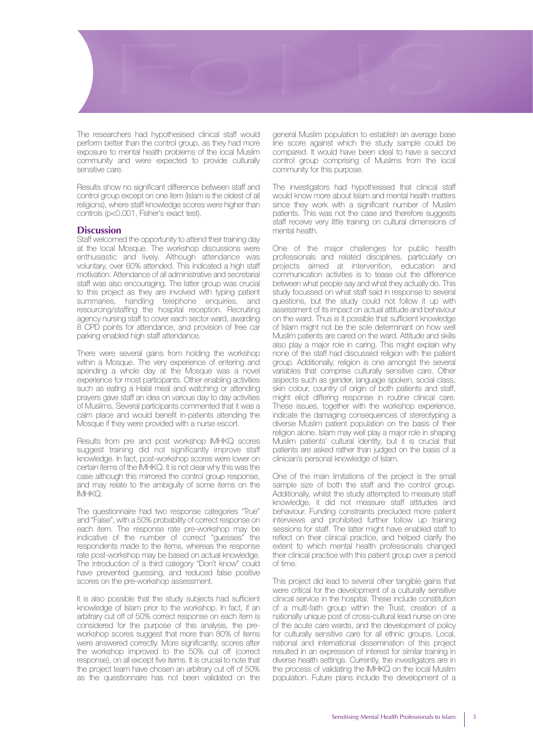

The researchers had hypothesised clinical staff would perform better than the control group, as they had more exposure to mental health problems of the local Muslim community and were expected to provide culturally sensitive care.

Results show no significant difference between staff and control group except on one item (Islam is the oldest of all religions), where staff knowledge scores were higher than controls (p<0.001, Fisher's exact test).

#### **Discussion**

Staff welcomed the opportunity to attend their training day at the local Mosque. The workshop discussions were enthusiastic and lively. Although attendance was voluntary, over 60% attended. This indicated a high staff motivation. Attendance of all administrative and secretarial staff was also encouraging. The latter group was crucial to this project as they are involved with typing patient summaries, handling telephone enquiries, and resourcing/staffing the hospital reception. Recruiting agency nursing staff to cover each sector ward, awarding 8 CPD points for attendance, and provision of free car parking enabled high staff attendance.

There were several gains from holding the workshop within a Mosque. The very experience of entering and spending a whole day at the Mosque was a novel experience for most participants. Other enabling activities such as eating a Halal meal and watching or attending prayers gave staff an idea on various day to day activities of Muslims. Several participants commented that it was a calm place and would benefit in-patients attending the Mosque if they were provided with a nurse escort.

Results from pre and post workshop IMHKQ scores suggest training did not significantly improve staff knowledge. In fact, post-workshop scores were lower on certain items of the IMHKQ. It is not clear why this was the case although this mirrored the control group response, and may relate to the ambiguity of some items on the IMHKQ.

The questionnaire had two response categories "True" and "False", with a 50% probability of correct response on each item. The response rate pre-workshop may be indicative of the number of correct "guesses" the respondents made to the items, whereas the response rate post-workshop may be based on actual knowledge. The introduction of a third category "Don't know" could have prevented guessing, and reduced false positive scores on the pre-workshop assessment.

It is also possible that the study subjects had sufficient knowledge of Islam prior to the workshop. In fact, if an arbitrary cut off of 50% correct response on each item is considered for the purpose of this analysis, the preworkshop scores suggest that more than 80% of items were answered correctly. More significantly, scores after the workshop improved to the 50% cut off (correct response), on all except five items. It is crucial to note that the project team have chosen an arbitrary cut off of 50% as the questionnaire has not been validated on the

general Muslim population to establish an average base line score against which the study sample could be compared. It would have been ideal to have a second control group comprising of Muslims from the local community for this purpose.

The investigators had hypothesised that clinical staff would know more about Islam and mental health matters since they work with a significant number of Muslim patients. This was not the case and therefore suggests staff receive very little training on cultural dimensions of mental health.

One of the major challenges for public health professionals and related disciplines, particularly on projects aimed at intervention, education and communication activities is to tease out the difference between what people say and what they actually do. This study focussed on what staff said in response to several questions, but the study could not follow it up with assessment of its impact on actual attitude and behaviour on the ward. Thus is it possible that sufficient knowledge of Islam might not be the sole determinant on how well Muslim patients are cared on the ward. Attitude and skills also play a major role in caring. This might explain why none of the staff had discussed religion with the patient group. Additionally, religion is one amongst the several variables that comprise culturally sensitive care. Other aspects such as gender, language spoken, social class, skin colour, country of origin of both patients and staff, might elicit differing response in routine clinical care. These issues, together with the workshop experience, indicate the damaging consequences of stereotyping a diverse Muslim patient population on the basis of their religion alone. Islam may well play a major role in shaping Muslim patients' cultural identity, but it is crucial that patients are asked rather than judged on the basis of a clinician's personal knowledge of Islam.

One of the main limitations of the project is the small sample size of both the staff and the control group. Additionally, whilst the study attempted to measure staff knowledge, it did not measure staff attitudes and behaviour. Funding constraints precluded more patient interviews and prohibited further follow up training sessions for staff. The latter might have enabled staff to reflect on their clinical practice, and helped clarify the extent to which mental health professionals changed their clinical practice with this patient group over a period of time.

This project did lead to several other tangible gains that were critical for the development of a culturally sensitive clinical service in the hospital. These include constitution of a multi-faith group within the Trust, creation of a nationally unique post of cross-cultural lead nurse on one of the acute care wards, and the development of policy for culturally sensitive care for all ethnic groups. Local, national and international dissemination of this project resulted in an expression of interest for similar training in diverse health settings. Currently, the investigators are in the process of validating the IMHKQ on the local Muslim population. Future plans include the development of a